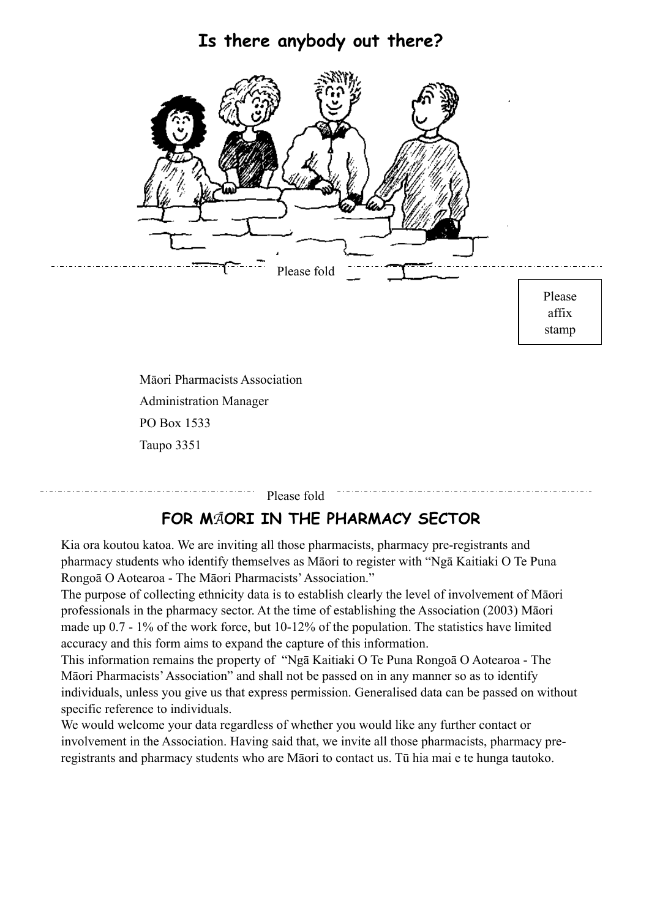## **Is there anybody out there?**



Administration Manager PO Box 1533 Taupo 3351

Please fold

## **FOR M**Ā**ORI IN THE PHARMACY SECTOR**

Kia ora koutou katoa. We are inviting all those pharmacists, pharmacy pre-registrants and pharmacy students who identify themselves as Māori to register with "Ngā Kaitiaki O Te Puna Rongoā O Aotearoa - The Māori Pharmacists' Association."

The purpose of collecting ethnicity data is to establish clearly the level of involvement of Māori professionals in the pharmacy sector. At the time of establishing the Association (2003) Māori made up 0.7 - 1% of the work force, but 10-12% of the population. The statistics have limited accuracy and this form aims to expand the capture of this information.

This information remains the property of "Ngā Kaitiaki O Te Puna Rongoā O Aotearoa - The Māori Pharmacists' Association" and shall not be passed on in any manner so as to identify individuals, unless you give us that express permission. Generalised data can be passed on without specific reference to individuals.

We would welcome your data regardless of whether you would like any further contact or involvement in the Association. Having said that, we invite all those pharmacists, pharmacy preregistrants and pharmacy students who are Māori to contact us. Tū hia mai e te hunga tautoko.